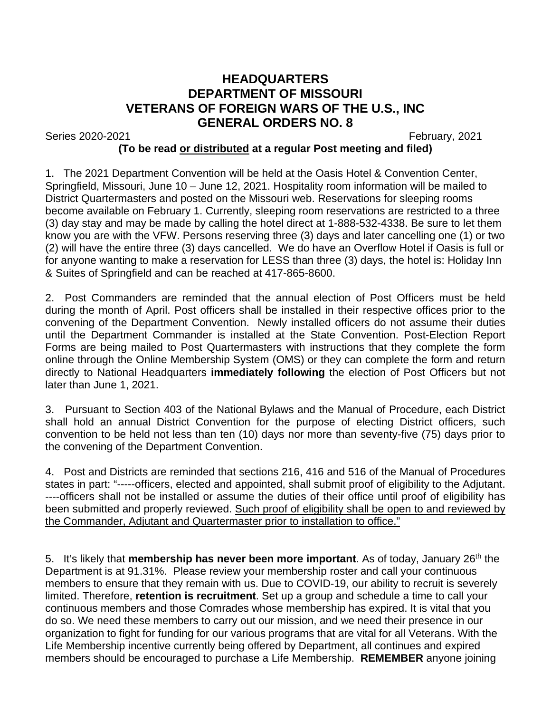## **HEADQUARTERS DEPARTMENT OF MISSOURI VETERANS OF FOREIGN WARS OF THE U.S., INC GENERAL ORDERS NO. 8**

Series 2020-2021 February, 2021

## **(To be read or distributed at a regular Post meeting and filed)**

1. The 2021 Department Convention will be held at the Oasis Hotel & Convention Center, Springfield, Missouri, June 10 – June 12, 2021. Hospitality room information will be mailed to District Quartermasters and posted on the Missouri web. Reservations for sleeping rooms become available on February 1. Currently, sleeping room reservations are restricted to a three (3) day stay and may be made by calling the hotel direct at 1-888-532-4338. Be sure to let them know you are with the VFW. Persons reserving three (3) days and later cancelling one (1) or two (2) will have the entire three (3) days cancelled. We do have an Overflow Hotel if Oasis is full or for anyone wanting to make a reservation for LESS than three (3) days, the hotel is: Holiday Inn & Suites of Springfield and can be reached at 417-865-8600.

2. Post Commanders are reminded that the annual election of Post Officers must be held during the month of April. Post officers shall be installed in their respective offices prior to the convening of the Department Convention. Newly installed officers do not assume their duties until the Department Commander is installed at the State Convention. Post-Election Report Forms are being mailed to Post Quartermasters with instructions that they complete the form online through the Online Membership System (OMS) or they can complete the form and return directly to National Headquarters **immediately following** the election of Post Officers but not later than June 1, 2021.

3. Pursuant to Section 403 of the National Bylaws and the Manual of Procedure, each District shall hold an annual District Convention for the purpose of electing District officers, such convention to be held not less than ten (10) days nor more than seventy-five (75) days prior to the convening of the Department Convention.

4. Post and Districts are reminded that sections 216, 416 and 516 of the Manual of Procedures states in part: "-----officers, elected and appointed, shall submit proof of eligibility to the Adjutant. ----officers shall not be installed or assume the duties of their office until proof of eligibility has been submitted and properly reviewed. Such proof of eligibility shall be open to and reviewed by the Commander, Adjutant and Quartermaster prior to installation to office."

5. It's likely that **membership has never been more important**. As of today, January 26th the Department is at 91.31%. Please review your membership roster and call your continuous members to ensure that they remain with us. Due to COVID-19, our ability to recruit is severely limited. Therefore, **retention is recruitment**. Set up a group and schedule a time to call your continuous members and those Comrades whose membership has expired. It is vital that you do so. We need these members to carry out our mission, and we need their presence in our organization to fight for funding for our various programs that are vital for all Veterans. With the Life Membership incentive currently being offered by Department, all continues and expired members should be encouraged to purchase a Life Membership. **REMEMBER** anyone joining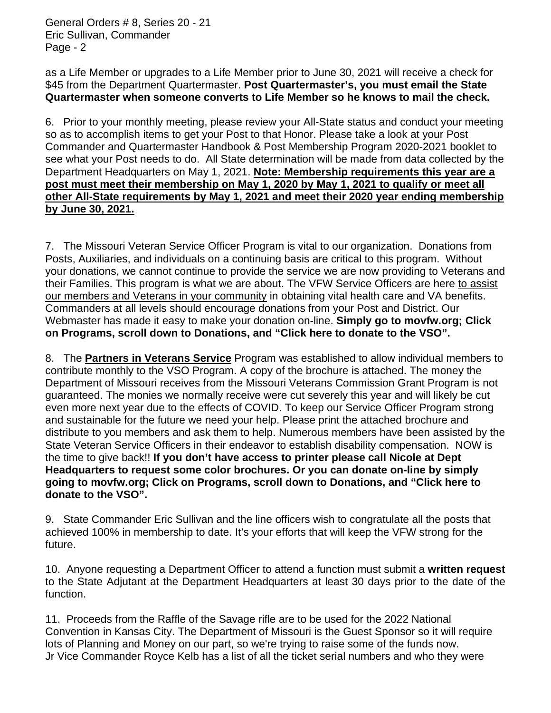General Orders # 8, Series 20 - 21 Eric Sullivan, Commander Page - 2

as a Life Member or upgrades to a Life Member prior to June 30, 2021 will receive a check for \$45 from the Department Quartermaster. **Post Quartermaster's, you must email the State Quartermaster when someone converts to Life Member so he knows to mail the check.**

6. Prior to your monthly meeting, please review your All-State status and conduct your meeting so as to accomplish items to get your Post to that Honor. Please take a look at your Post Commander and Quartermaster Handbook & Post Membership Program 2020-2021 booklet to see what your Post needs to do. All State determination will be made from data collected by the Department Headquarters on May 1, 2021. **Note: Membership requirements this year are a post must meet their membership on May 1, 2020 by May 1, 2021 to qualify or meet all other All-State requirements by May 1, 2021 and meet their 2020 year ending membership by June 30, 2021.**

7. The Missouri Veteran Service Officer Program is vital to our organization. Donations from Posts, Auxiliaries, and individuals on a continuing basis are critical to this program. Without your donations, we cannot continue to provide the service we are now providing to Veterans and their Families. This program is what we are about. The VFW Service Officers are here to assist our members and Veterans in your community in obtaining vital health care and VA benefits. Commanders at all levels should encourage donations from your Post and District. Our Webmaster has made it easy to make your donation on-line. **Simply go to movfw.org; Click on Programs, scroll down to Donations, and "Click here to donate to the VSO".**

8. The **Partners in Veterans Service** Program was established to allow individual members to contribute monthly to the VSO Program. A copy of the brochure is attached. The money the Department of Missouri receives from the Missouri Veterans Commission Grant Program is not guaranteed. The monies we normally receive were cut severely this year and will likely be cut even more next year due to the effects of COVID. To keep our Service Officer Program strong and sustainable for the future we need your help. Please print the attached brochure and distribute to you members and ask them to help. Numerous members have been assisted by the State Veteran Service Officers in their endeavor to establish disability compensation. NOW is the time to give back!! **If you don't have access to printer please call Nicole at Dept Headquarters to request some color brochures. Or you can donate on-line by simply going to movfw.org; Click on Programs, scroll down to Donations, and "Click here to donate to the VSO".**

9. State Commander Eric Sullivan and the line officers wish to congratulate all the posts that achieved 100% in membership to date. It's your efforts that will keep the VFW strong for the future.

10. Anyone requesting a Department Officer to attend a function must submit a **written request** to the State Adjutant at the Department Headquarters at least 30 days prior to the date of the function.

11. Proceeds from the Raffle of the Savage rifle are to be used for the 2022 National Convention in Kansas City. The Department of Missouri is the Guest Sponsor so it will require lots of Planning and Money on our part, so we're trying to raise some of the funds now. Jr Vice Commander Royce Kelb has a list of all the ticket serial numbers and who they were